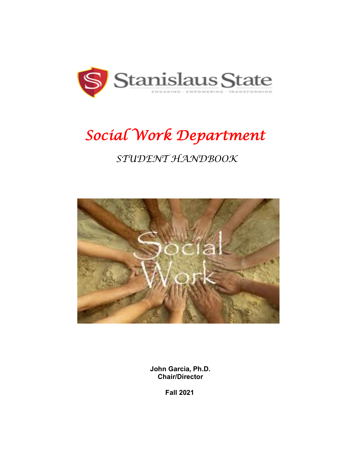

# *Social Work Department*

## *STUDENT HANDBOOK*



 **John Garcia, Ph.D. Chair/Director**

**Fall 2021**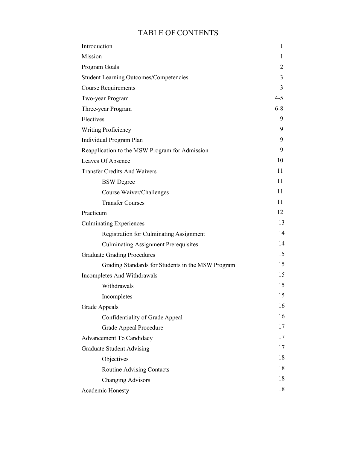### TABLE OF CONTENTS

| Introduction                                      | 1       |
|---------------------------------------------------|---------|
| Mission                                           | 1       |
| Program Goals                                     | 2       |
| <b>Student Learning Outcomes/Competencies</b>     | 3       |
| <b>Course Requirements</b>                        | 3       |
| Two-year Program                                  | $4 - 5$ |
| Three-year Program                                | $6 - 8$ |
| Electives                                         | 9       |
| <b>Writing Proficiency</b>                        | 9       |
| Individual Program Plan                           | 9       |
| Reapplication to the MSW Program for Admission    | 9       |
| Leaves Of Absence                                 | 10      |
| <b>Transfer Credits And Waivers</b>               | 11      |
| <b>BSW</b> Degree                                 | 11      |
| Course Waiver/Challenges                          | 11      |
| <b>Transfer Courses</b>                           | 11      |
| Practicum                                         | 12      |
| <b>Culminating Experiences</b>                    | 13      |
| <b>Registration for Culminating Assignment</b>    | 14      |
| <b>Culminating Assignment Prerequisites</b>       | 14      |
| <b>Graduate Grading Procedures</b>                | 15      |
| Grading Standards for Students in the MSW Program | 15      |
| Incompletes And Withdrawals                       | 15      |
| Withdrawals                                       | 15      |
| Incompletes                                       | 15      |
| <b>Grade Appeals</b>                              | 16      |
| Confidentiality of Grade Appeal                   | 16      |
| Grade Appeal Procedure                            | 17      |
| Advancement To Candidacy                          | 17      |
| <b>Graduate Student Advising</b>                  | 17      |
| Objectives                                        | 18      |
| Routine Advising Contacts                         | 18      |
| <b>Changing Advisors</b>                          | 18      |
| Academic Honesty                                  | 18      |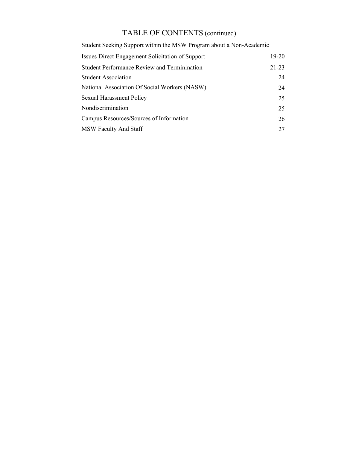### TABLE OF CONTENTS (continued)

Student Seeking Support within the MSW Program about a Non-Academic

| Issues Direct Engagement Solicitation of Support    | $19-20$   |
|-----------------------------------------------------|-----------|
| <b>Student Performance Review and Terminination</b> | $21 - 23$ |
| <b>Student Association</b>                          | 24        |
| National Association Of Social Workers (NASW)       | 24        |
| <b>Sexual Harassment Policy</b>                     | 25        |
| Nondiscrimination                                   | 25        |
| Campus Resources/Sources of Information             | 26        |
| <b>MSW Faculty And Staff</b>                        | 27        |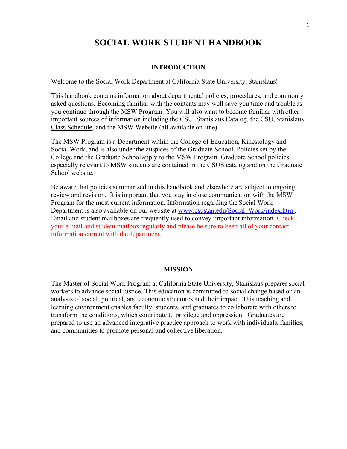### **SOCIAL WORK STUDENT HANDBOOK**

#### **INTRODUCTION**

Welcome to the Social Work Department at California State University, Stanislaus!

This handbook contains information about departmental policies, procedures, and commonly asked questions. Becoming familiar with the contents may well save you time and trouble as you continue through the MSW Program. You will also want to become familiar with other important sources of information including the CSU, Stanislaus Catalog, the CSU, Stanislaus Class Schedule, and the MSW Website (all available on-line).

The MSW Program is a Department within the College of Education, Kinesiology and Social Work, and is also under the auspices of the Graduate School. Policies set by the College and the Graduate School apply to the MSW Program. Graduate School policies especially relevant to MSW students are contained in the CSUS catalog and on the Graduate School website.

Be aware that policies summarized in this handbook and elsewhere are subject to ongoing review and revision. It is important that you stay in close communication with the MSW Program for the most current information. Information regarding the Social Work Department is also available on our website at www.csustan.edu/Social\_Work/index.htm . Email and student mailboxes are frequently used to convey important information. Check your e-mail and student mailbox regularly and please be sure to keep all of your contact information current with the department.

#### **MISSION**

The Master of Social Work Program at California State University, Stanislaus prepares social workers to advance social justice. This education is committed to social change based on an analysis of social, political, and economic structures and their impact. This teaching and learning environment enables faculty, students, and graduates to collaborate with othersto transform the conditions, which contribute to privilege and oppression. Graduates are prepared to use an advanced integrative practice approach to work with individuals, families, and communities to promote personal and collective liberation.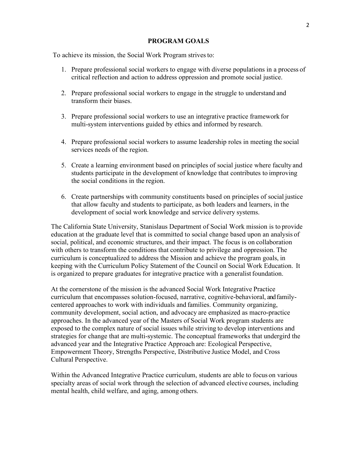#### **PROGRAM GOALS**

To achieve its mission, the Social Work Program strivesto:

- 1. Prepare professional social workers to engage with diverse populations in a process of critical reflection and action to address oppression and promote social justice.
- 2. Prepare professional social workers to engage in the struggle to understand and transform their biases.
- 3. Prepare professional social workers to use an integrative practice framework for multi-system interventions guided by ethics and informed by research.
- 4. Prepare professional social workers to assume leadership roles in meeting the social services needs of the region.
- 5. Create a learning environment based on principles of social justice where faculty and students participate in the development of knowledge that contributes to improving the social conditions in the region.
- 6. Create partnerships with community constituents based on principles of social justice that allow faculty and students to participate, as both leaders and learners, in the development of social work knowledge and service delivery systems.

The California State University, Stanislaus Department of Social Work mission is to provide education at the graduate level that is committed to social change based upon an analysis of social, political, and economic structures, and their impact. The focus is on collaboration with others to transform the conditions that contribute to privilege and oppression. The curriculum is conceptualized to address the Mission and achieve the program goals, in keeping with the Curriculum Policy Statement of the Council on Social Work Education. It is organized to prepare graduates for integrative practice with a generalist foundation.

At the cornerstone of the mission is the advanced Social Work Integrative Practice curriculum that encompasses solution-focused, narrative, cognitive-behavioral, and familycentered approaches to work with individuals and families. Community organizing, community development, social action, and advocacy are emphasized as macro-practice approaches. In the advanced year of the Masters of Social Work program students are exposed to the complex nature of social issues while striving to develop interventions and strategies for change that are multi-systemic. The conceptual frameworks that undergird the advanced year and the Integrative Practice Approach are: Ecological Perspective, Empowerment Theory, Strengths Perspective, Distributive Justice Model, and Cross Cultural Perspective.

Within the Advanced Integrative Practice curriculum, students are able to focus on various specialty areas of social work through the selection of advanced elective courses, including mental health, child welfare, and aging, among others.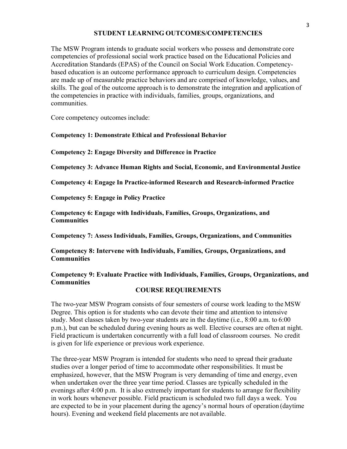#### **STUDENT LEARNING OUTCOMES/COMPETENCIES**

The MSW Program intends to graduate social workers who possess and demonstrate core competencies of professional social work practice based on the Educational Policies and Accreditation Standards (EPAS) of the Council on Social Work Education. Competencybased education is an outcome performance approach to curriculum design. Competencies are made up of measurable practice behaviors and are comprised of knowledge, values, and skills. The goal of the outcome approach is to demonstrate the integration and application of the competencies in practice with individuals, families, groups, organizations, and communities.

Core competency outcomes include:

#### **Competency 1: Demonstrate Ethical and Professional Behavior**

**Competency 2: Engage Diversity and Difference in Practice**

**Competency 3: Advance Human Rights and Social, Economic, and Environmental Justice** 

**Competency 4: Engage In Practice-informed Research and Research-informed Practice**

**Competency 5: Engage in Policy Practice**

**Competency 6: Engage with Individuals, Families, Groups, Organizations, and Communities** 

**Competency 7: Assess Individuals, Families, Groups, Organizations, and Communities**

#### **Competency 8: Intervene with Individuals, Families, Groups, Organizations, and Communities**

#### **Competency 9: Evaluate Practice with Individuals, Families, Groups, Organizations, and Communities**

#### **COURSE REQUIREMENTS**

The two-year MSW Program consists of four semesters of course work leading to the MSW Degree. This option is for students who can devote their time and attention to intensive study. Most classes taken by two-year students are in the daytime (i.e., 8:00 a.m. to 6:00 p.m.), but can be scheduled during evening hours as well. Elective courses are often at night. Field practicum is undertaken concurrently with a full load of classroom courses. No credit is given for life experience or previous work experience.

The three-year MSW Program is intended for students who need to spread their graduate studies over a longer period of time to accommodate other responsibilities. It must be emphasized, however, that the MSW Program is very demanding of time and energy, even when undertaken over the three year time period. Classes are typically scheduled in the evenings after 4:00 p.m. It is also extremely important for students to arrange for flexibility in work hours whenever possible. Field practicum is scheduled two full days a week. You are expected to be in your placement during the agency's normal hours of operation (daytime hours). Evening and weekend field placements are not available.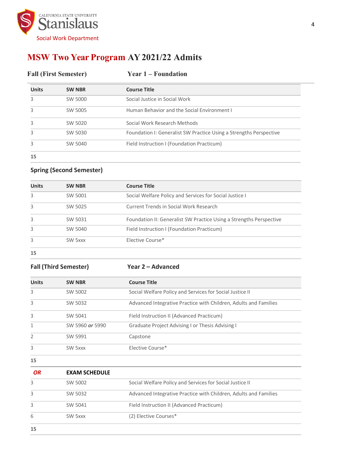

### **MSW Two Year Program AY 2021/22 Admits**

| <b>Fall (First Semester)</b> |               | <b>Year 1 – Foundation</b>                                         |  |
|------------------------------|---------------|--------------------------------------------------------------------|--|
| <b>Units</b>                 | <b>SW NBR</b> | <b>Course Title</b>                                                |  |
| 3                            | SW 5000       | Social Justice in Social Work                                      |  |
|                              | SW 5005       | Human Behavior and the Social Environment I                        |  |
|                              | SW 5020       | Social Work Research Methods                                       |  |
|                              | SW 5030       | Foundation I: Generalist SW Practice Using a Strengths Perspective |  |
|                              | SW 5040       | Field Instruction I (Foundation Practicum)                         |  |
| 15                           |               |                                                                    |  |

#### **Spring (Second Semester)**

| <b>Units</b> | <b>SW NBR</b> | <b>Course Title</b>                                                 |
|--------------|---------------|---------------------------------------------------------------------|
|              |               |                                                                     |
| 3            | SW 5001       | Social Welfare Policy and Services for Social Justice I             |
| 3            | SW 5025       | Current Trends in Social Work Research                              |
| 3            | SW 5031       | Foundation II: Generalist SW Practice Using a Strengths Perspective |
| 3            | SW 5040       | Field Instruction I (Foundation Practicum)                          |
| 3            | SW 5xxx       | Elective Course*                                                    |
| 15           |               |                                                                     |

#### **Fall (Third Semester) Year 2 – Advanced**

| <b>Units</b>  | <b>SW NBR</b>   | <b>Course Title</b>                                              |
|---------------|-----------------|------------------------------------------------------------------|
| 3             | SW 5002         | Social Welfare Policy and Services for Social Justice II         |
| 3             | SW 5032         | Advanced Integrative Practice with Children, Adults and Families |
| 3             | SW 5041         | Field Instruction II (Advanced Practicum)                        |
| 1             | SW 5960 or 5990 | Graduate Project Advising I or Thesis Advising I                 |
| $\mathcal{P}$ | SW 5991         | Capstone                                                         |
| 3             | SW 5xxx         | Elective Course*                                                 |

| OR | <b>EXAM SCHEDULE</b> |                                                                  |
|----|----------------------|------------------------------------------------------------------|
| 3  | SW 5002              | Social Welfare Policy and Services for Social Justice II         |
| 3  | SW 5032              | Advanced Integrative Practice with Children, Adults and Families |
| 3  | SW 5041              | Field Instruction II (Advanced Practicum)                        |
| 6  | SW 5xxx              | (2) Elective Courses*                                            |
| 15 |                      |                                                                  |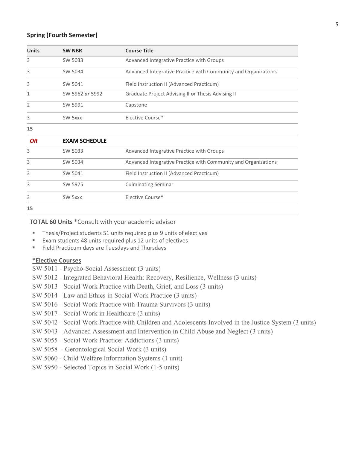#### **Spring (Fourth Semester)**

| <b>Units</b>   | <b>SW NBR</b>        | <b>Course Title</b>                                            |
|----------------|----------------------|----------------------------------------------------------------|
| 3              | SW 5033              | Advanced Integrative Practice with Groups                      |
| 3              | SW 5034              | Advanced Integrative Practice with Community and Organizations |
| 3              | SW 5041              | Field Instruction II (Advanced Practicum)                      |
| 1              | SW 5962 or 5992      | Graduate Project Advising II or Thesis Advising II             |
| $\overline{2}$ | SW 5991              | Capstone                                                       |
| 3              | SW 5xxx              | Elective Course*                                               |
| 15             |                      |                                                                |
| <b>OR</b>      | <b>EXAM SCHEDULE</b> |                                                                |
| 3              | SW 5033              | Advanced Integrative Practice with Groups                      |
| 3              | SW 5034              | Advanced Integrative Practice with Community and Organizations |
| 3              | SW 5041              | Field Instruction II (Advanced Practicum)                      |
| 3              | SW 5975              | <b>Culminating Seminar</b>                                     |
| 3              | SW 5xxx              | Elective Course*                                               |
| 15             |                      |                                                                |

**TOTAL 60 Units \***Consult with your academic advisor

- Thesis/Project students 51 units required plus 9 units of electives
- Exam students 48 units required plus 12 units of electives
- Field Practicum days are Tuesdays and Thursdays

#### **\*Elective Courses**

- SW 5011 Psycho-Social Assessment (3 units)
- SW 5012 Integrated Behavioral Health: Recovery, Resilience, Wellness (3 units)
- SW 5013 Social Work Practice with Death, Grief, and Loss (3 units)
- SW 5014 Law and Ethics in Social Work Practice (3 units)
- SW 5016 Social Work Practice with Trauma Survivors (3 units)
- SW 5017 Social Work in Healthcare (3 units)
- SW 5042 Social Work Practice with Children and Adolescents Involved in the Justice System (3 units)
- SW 5043 Advanced Assessment and Intervention in Child Abuse and Neglect (3 units)
- SW 5055 Social Work Practice: Addictions (3 units)
- SW 5058 Gerontological Social Work (3 units)
- SW 5060 Child Welfare Information Systems (1 unit)
- SW 5950 Selected Topics in Social Work (1-5 units)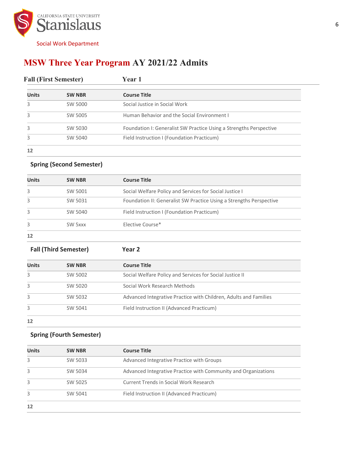

### **MSW Three Year Program AY 2021/22 Admits**

| <b>Fall (First Semester)</b> |               | <b>Year 1</b>                                                      |  |
|------------------------------|---------------|--------------------------------------------------------------------|--|
| <b>Units</b>                 | <b>SW NBR</b> | <b>Course Title</b>                                                |  |
|                              | SW 5000       | Social Justice in Social Work                                      |  |
|                              | SW 5005       | Human Behavior and the Social Environment I                        |  |
|                              | SW 5030       | Foundation I: Generalist SW Practice Using a Strengths Perspective |  |
|                              | SW 5040       | Field Instruction I (Foundation Practicum)                         |  |
| 12                           |               |                                                                    |  |

#### **Spring (Second Semester)**

| <b>Units</b> | <b>SW NBR</b> | <b>Course Title</b>                                                 |
|--------------|---------------|---------------------------------------------------------------------|
| 3            | SW 5001       | Social Welfare Policy and Services for Social Justice I             |
| 3            | SW 5031       | Foundation II: Generalist SW Practice Using a Strengths Perspective |
| 3            | SW 5040       | Field Instruction I (Foundation Practicum)                          |
| 3            | SW 5xxx       | Elective Course*                                                    |
| 12           |               |                                                                     |

**Fall (Third Semester) Year 2**

| <b>Units</b> | <b>SW NBR</b> | <b>Course Title</b>                                              |
|--------------|---------------|------------------------------------------------------------------|
| 3            | SW 5002       | Social Welfare Policy and Services for Social Justice II         |
| 3            | SW 5020       | Social Work Research Methods                                     |
| 3            | SW 5032       | Advanced Integrative Practice with Children, Adults and Families |
| 3            | SW 5041       | Field Instruction II (Advanced Practicum)                        |
| 12           |               |                                                                  |

#### **Spring (Fourth Semester)**

| <b>Units</b> | <b>SW NBR</b> | <b>Course Title</b>                                            |
|--------------|---------------|----------------------------------------------------------------|
| 3            | SW 5033       | Advanced Integrative Practice with Groups                      |
| 3            | SW 5034       | Advanced Integrative Practice with Community and Organizations |
| 3            | SW 5025       | <b>Current Trends in Social Work Research</b>                  |
| 3            | SW 5041       | Field Instruction II (Advanced Practicum)                      |
| 12           |               |                                                                |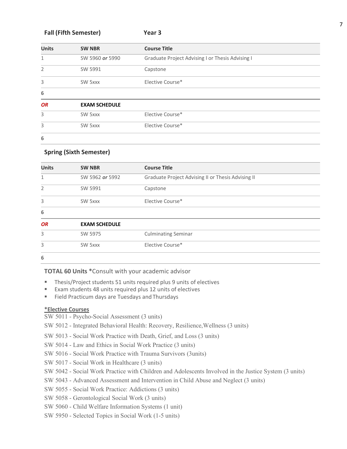#### **Fall (Fifth Semester) Year 3**

| <b>Units</b>   | <b>SW NBR</b>        | <b>Course Title</b>                              |
|----------------|----------------------|--------------------------------------------------|
| $\mathbf{1}$   | SW 5960 or 5990      | Graduate Project Advising I or Thesis Advising I |
| $\overline{2}$ | SW 5991              | Capstone                                         |
| 3              | SW 5xxx              | Elective Course*                                 |
| 6              |                      |                                                  |
| <b>OR</b>      | <b>EXAM SCHEDULE</b> |                                                  |
| 3              | SW 5xxx              | Elective Course*                                 |
| 3              | SW 5xxx              | Elective Course*                                 |
| 6              |                      |                                                  |

#### **Spring (Sixth Semester)**

| <b>Units</b>   | <b>SW NBR</b>        | <b>Course Title</b>                                |  |  |
|----------------|----------------------|----------------------------------------------------|--|--|
| $\mathbf{1}$   | SW 5962 or 5992      | Graduate Project Advising II or Thesis Advising II |  |  |
| $\overline{2}$ | SW 5991              | Capstone                                           |  |  |
| 3              | SW 5xxx              | Elective Course*                                   |  |  |
| 6              |                      |                                                    |  |  |
| <b>OR</b>      | <b>EXAM SCHEDULE</b> |                                                    |  |  |
| 3              | SW 5975              | <b>Culminating Seminar</b>                         |  |  |
| 3              | SW 5xxx              | Elective Course*                                   |  |  |
| 6              |                      |                                                    |  |  |

**TOTAL 60 Units \***Consult with your academic advisor

- Thesis/Project students 51 units required plus 9 units of electives
- Exam students 48 units required plus 12 units of electives
- Field Practicum days are Tuesdays and Thursdays

#### **\*Elective Courses**

- SW 5011 Psycho-Social Assessment (3 units)
- SW 5012 Integrated Behavioral Health: Recovery, Resilience,Wellness (3 units)
- SW 5013 Social Work Practice with Death, Grief, and Loss (3 units)
- SW 5014 Law and Ethics in Social Work Practice (3 units)
- SW 5016 Social Work Practice with Trauma Survivors (3units)
- SW 5017 Social Work in Healthcare (3 units)
- SW 5042 Social Work Practice with Children and Adolescents Involved in the Justice System (3 units)
- SW 5043 Advanced Assessment and Intervention in Child Abuse and Neglect (3 units)
- SW 5055 Social Work Practice: Addictions (3 units)
- SW 5058 Gerontological Social Work (3 units)
- SW 5060 Child Welfare Information Systems (1 unit)
- SW 5950 Selected Topics in Social Work (1-5 units)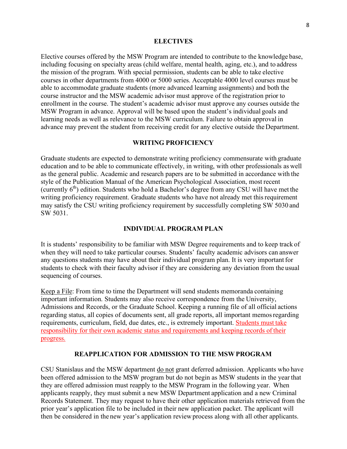#### **ELECTIVES**

Elective courses offered by the MSW Program are intended to contribute to the knowledge base, including focusing on specialty areas (child welfare, mental health, aging, etc.), and to address the mission of the program. With special permission, students can be able to take elective courses in other departments from 4000 or 5000 series. Acceptable 4000 level courses must be able to accommodate graduate students (more advanced learning assignments) and both the course instructor and the MSW academic advisor must approve of the registration prior to enrollment in the course. The student's academic advisor must approve any courses outside the MSW Program in advance. Approval will be based upon the student's individual goals and learning needs as well as relevance to the MSW curriculum. Failure to obtain approval in advance may prevent the student from receiving credit for any elective outside the Department.

#### **WRITING PROFICIENCY**

Graduate students are expected to demonstrate writing proficiency commensurate with graduate education and to be able to communicate effectively, in writing, with other professionals as well as the general public. Academic and research papers are to be submitted in accordance with the style of the Publication Manual of the American Psychological Association, most recent (currently  $6<sup>th</sup>$ ) edition. Students who hold a Bachelor's degree from any CSU will have met the writing proficiency requirement. Graduate students who have not already met this requirement may satisfy the CSU writing proficiency requirement by successfully completing SW 5030 and SW 5031.

#### **INDIVIDUAL PROGRAM PLAN**

It is students' responsibility to be familiar with MSW Degree requirements and to keep track of when they will need to take particular courses. Students' faculty academic advisors can answer any questions students may have about their individual program plan. It is very important for students to check with their faculty advisor if they are considering any deviation from the usual sequencing of courses.

Keep a File: From time to time the Department will send students memoranda containing important information. Students may also receive correspondence from the University, Admissions and Records, or the Graduate School. Keeping a running file of all official actions regarding status, all copies of documents sent, all grade reports, all important memosregarding requirements, curriculum, field, due dates, etc., is extremely important. Students must take responsibility for their own academic status and requirements and keeping records of their progress.

#### **REAPPLICATION FOR ADMISSION TO THE MSWPROGRAM**

CSU Stanislaus and the MSW department do not grant deferred admission. Applicants who have been offered admission to the MSW program but do not begin as MSW students in the year that they are offered admission must reapply to the MSW Program in the following year. When applicants reapply, they must submit a new MSW Department application and a new Criminal Records Statement. They may request to have their other application materials retrieved from the prior year's application file to be included in their new application packet. The applicant will then be considered in the new year's application reviewprocess along with all other applicants.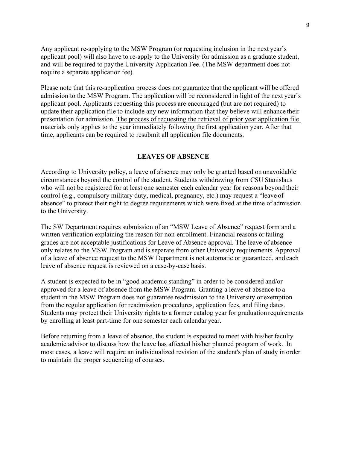Any applicant re-applying to the MSW Program (or requesting inclusion in the next year's applicant pool) will also have to re-apply to the University for admission as a graduate student, and will be required to pay the University Application Fee. (The MSW department does not require a separate application fee).

Please note that this re-application process does not guarantee that the applicant will be offered admission to the MSW Program. The application will be reconsidered in light of the next year's applicant pool. Applicants requesting this process are encouraged (but are not required) to update their application file to include any new information that they believe will enhance their presentation for admission. The process of requesting the retrieval of prior year application file materials only applies to the year immediately following the first application year. After that time, applicants can be required to resubmit all application file documents.

#### **LEAVES OF ABSENCE**

According to University policy, a leave of absence may only be granted based on unavoidable circumstances beyond the control of the student. Students withdrawing from CSU Stanislaus who will not be registered for at least one semester each calendar year for reasons beyond their control (e.g., compulsory military duty, medical, pregnancy, etc.) may request a "leave of absence" to protect their right to degree requirements which were fixed at the time of admission to the University.

The SW Department requires submission of an "MSW Leave of Absence" request form and a written verification explaining the reason for non-enrollment. Financial reasons or failing grades are not acceptable justifications for Leave of Absence approval. The leave of absence only relates to the MSW Program and is separate from other University requirements. Approval of a leave of absence request to the MSW Department is not automatic or guaranteed, and each leave of absence request is reviewed on a case-by-case basis.

A student is expected to be in "good academic standing" in order to be considered and/or approved for a leave of absence from the MSW Program. Granting a leave of absence to a student in the MSW Program does not guarantee readmission to the University or exemption from the regular application for readmission procedures, application fees, and filing dates. Students may protect their University rights to a former catalog year for graduation requirements by enrolling at least part-time for one semester each calendar year.

Before returning from a leave of absence, the student is expected to meet with his/her faculty academic advisor to discuss how the leave has affected his/her planned program of work. In most cases, a leave will require an individualized revision of the student's plan of study in order to maintain the proper sequencing of courses.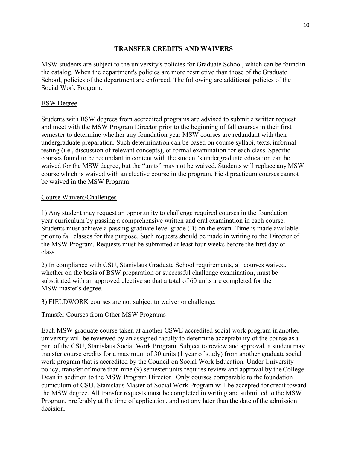#### **TRANSFER CREDITS AND WAIVERS**

MSW students are subject to the university's policies for Graduate School, which can be found in the catalog. When the department's policies are more restrictive than those of the Graduate School, policies of the department are enforced. The following are additional policies of the Social Work Program:

#### BSW Degree

Students with BSW degrees from accredited programs are advised to submit a written request and meet with the MSW Program Director prior to the beginning of fall courses in their first semester to determine whether any foundation year MSW courses are redundant with their undergraduate preparation. Such determination can be based on course syllabi, texts, informal testing (i.e., discussion of relevant concepts), or formal examination for each class. Specific courses found to be redundant in content with the student's undergraduate education can be waived for the MSW degree, but the "units" may not be waived. Students will replace any MSW course which is waived with an elective course in the program. Field practicum courses cannot be waived in the MSW Program.

#### Course Waivers/Challenges

1) Any student may request an opportunity to challenge required courses in the foundation year curriculum by passing a comprehensive written and oral examination in each course. Students must achieve a passing graduate level grade (B) on the exam. Time is made available prior to fall classes for this purpose. Such requests should be made in writing to the Director of the MSW Program. Requests must be submitted at least four weeks before the first day of class.

2) In compliance with CSU, Stanislaus Graduate School requirements, all courses waived, whether on the basis of BSW preparation or successful challenge examination, must be substituted with an approved elective so that a total of 60 units are completed for the MSW master's degree.

3) FIELDWORK courses are not subject to waiver or challenge.

#### Transfer Courses from Other MSW Programs

Each MSW graduate course taken at another CSWE accredited social work program in another university will be reviewed by an assigned faculty to determine acceptability of the course as a part of the CSU, Stanislaus Social Work Program. Subject to review and approval, a student may transfer course credits for a maximum of 30 units (1 year of study) from another graduate social work program that is accredited by the Council on Social Work Education. Under University policy, transfer of more than nine (9) semester units requires review and approval by the College Dean in addition to the MSW Program Director. Only courses comparable to the foundation curriculum of CSU, Stanislaus Master of Social Work Program will be accepted for credit toward the MSW degree. All transfer requests must be completed in writing and submitted to the MSW Program, preferably at the time of application, and not any later than the date of the admission decision.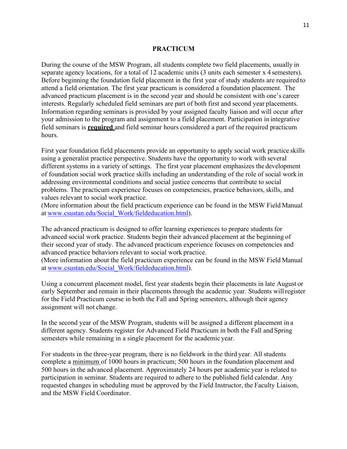#### **PRACTICUM**

During the course of the MSW Program, all students complete two field placements, usually in separate agency locations, for a total of 12 academic units (3 units each semester x 4 semesters). Before beginning the foundation field placement in the first year of study students are required to attend a field orientation. The first year practicum is considered a foundation placement. The advanced practicum placement is in the second year and should be consistent with one's career interests. Regularly scheduled field seminars are part of both first and second year placements. Information regarding seminars is provided by your assigned faculty liaison and will occur after your admission to the program and assignment to a field placement. Participation in integrative field seminars is **required** and field seminar hours considered a part of the required practicum hours.

First year foundation field placements provide an opportunity to apply social work practice skills using a generalist practice perspective. Students have the opportunity to work with several different systems in a variety of settings. The first year placement emphasizes the development of foundation social work practice skills including an understanding of the role of social work in addressing environmental conditions and social justice concerns that contribute to social problems. The practicum experience focuses on competencies, practice behaviors, skills, and values relevant to social work practice.

(More information about the field practicum experience can be found in the MSW Field Manual at www.csustan.edu/Social\_Work/fieldeducation.html).

The advanced practicum is designed to offer learning experiences to prepare students for advanced social work practice. Students begin their advanced placement at the beginning of their second year of study. The advanced practicum experience focuses on competencies and advanced practice behaviors relevant to social work practice.

(More information about the field practicum experience can be found in the MSW Field Manual at www.csustan.edu/Social\_Work/fieldeducation.html).

Using a concurrent placement model, first year students begin their placements in late August or early September and remain in their placements through the academic year. Students willregister for the Field Practicum course in both the Fall and Spring semesters, although their agency assignment will not change.

In the second year of the MSW Program, students will be assigned a different placement in a different agency. Students register for Advanced Field Practicum in both the Fall and Spring semesters while remaining in a single placement for the academic year.

For students in the three-year program, there is no fieldwork in the third year. All students complete a minimum of 1000 hours in practicum; 500 hours in the foundation placement and 500 hours in the advanced placement. Approximately 24 hours per academic year is related to participation in seminar. Students are required to adhere to the published field calendar. Any requested changes in scheduling must be approved by the Field Instructor, the Faculty Liaison, and the MSW Field Coordinator.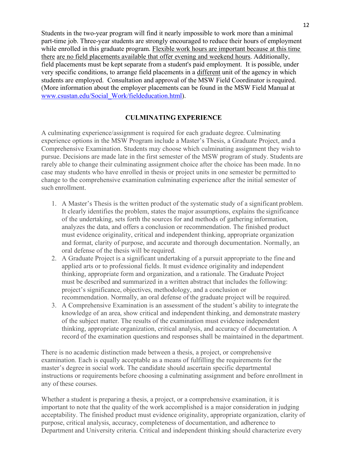Students in the two-year program will find it nearly impossible to work more than a minimal part-time job. Three-year students are strongly encouraged to reduce their hours of employment while enrolled in this graduate program. Flexible work hours are important because at this time there are no field placements available that offer evening and weekend hours. Additionally, field placements must be kept separate from a student's paid employment. It is possible, under very specific conditions, to arrange field placements in a different unit of the agency in which students are employed. Consultation and approval of the MSW Field Coordinator isrequired. (More information about the employer placements can be found in the MSW Field Manual at www.csustan.edu/Social\_Work/fieldeducation.html).

#### **CULMINATING EXPERIENCE**

A culminating experience/assignment is required for each graduate degree. Culminating experience options in the MSW Program include a Master's Thesis, a Graduate Project, and a Comprehensive Examination. Students may choose which culminating assignment they wish to pursue. Decisions are made late in the first semester of the MSW program of study. Students are rarely able to change their culminating assignment choice after the choice has been made. In no case may students who have enrolled in thesis or project units in one semester be permitted to change to the comprehensive examination culminating experience after the initial semester of such enrollment.

- 1. A Master's Thesis is the written product of the systematic study of a significant problem. It clearly identifies the problem, states the major assumptions, explains the significance of the undertaking, sets forth the sources for and methods of gathering information, analyzes the data, and offers a conclusion or recommendation. The finished product must evidence originality, critical and independent thinking, appropriate organization and format, clarity of purpose, and accurate and thorough documentation. Normally, an oral defense of the thesis will be required.
- 2. A Graduate Project is a significant undertaking of a pursuit appropriate to the fine and applied arts or to professional fields. It must evidence originality and independent thinking, appropriate form and organization, and a rationale. The Graduate Project must be described and summarized in a written abstract that includes the following: project's significance, objectives, methodology, and a conclusion or recommendation. Normally, an oral defense of the graduate project will be required.
- 3. A Comprehensive Examination is an assessment of the student's ability to integrate the knowledge of an area, show critical and independent thinking, and demonstrate mastery of the subject matter. The results of the examination must evidence independent thinking, appropriate organization, critical analysis, and accuracy of documentation. A record of the examination questions and responses shall be maintained in the department.

There is no academic distinction made between a thesis, a project, or comprehensive examination. Each is equally acceptable as a means of fulfilling the requirements for the master's degree in social work. The candidate should ascertain specific departmental instructions or requirements before choosing a culminating assignment and before enrollment in any of these courses.

Whether a student is preparing a thesis, a project, or a comprehensive examination, it is important to note that the quality of the work accomplished is a major consideration in judging acceptability. The finished product must evidence originality, appropriate organization, clarity of purpose, critical analysis, accuracy, completeness of documentation, and adherence to Department and University criteria. Critical and independent thinking should characterize every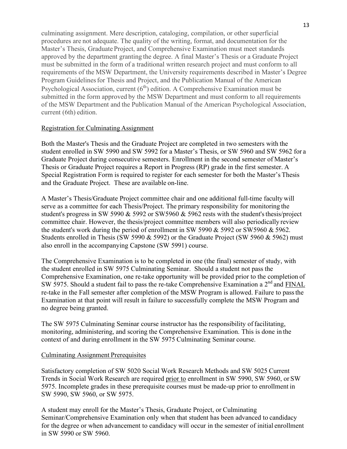culminating assignment. Mere description, cataloging, compilation, or other superficial procedures are not adequate. The quality of the writing, format, and documentation for the Master's Thesis, Graduate Project, and Comprehensive Examination must meet standards approved by the department granting the degree. A final Master's Thesis or a Graduate Project must be submitted in the form of a traditional written research project and must conform to all requirements of the MSW Department, the University requirements described in Master's Degree Program Guidelines for Thesis and Project, and the Publication Manual of the American Psychological Association, current  $(6<sup>th</sup>)$  edition. A Comprehensive Examination must be submitted in the form approved by the MSW Department and must conform to all requirements of the MSW Department and the Publication Manual of the American Psychological Association, current (6th) edition.

#### Registration for Culminating Assignment

Both the Master's Thesis and the Graduate Project are completed in two semesters with the student enrolled in SW 5990 and SW 5992 for a Master's Thesis, or SW 5960 and SW 5962 for a Graduate Project during consecutive semesters. Enrollment in the second semester of Master's Thesis or Graduate Project requires a Report in Progress (RP) grade in the first semester. A Special Registration Form is required to register for each semester for both the Master's Thesis and the Graduate Project. These are available on-line.

A Master's Thesis/Graduate Project committee chair and one additional full-time faculty will serve as a committee for each Thesis/Project. The primary responsibility for monitoring the student's progress in SW 5990  $&$  5992 or SW5960  $&$  5962 rests with the student's thesis/project committee chair. However, the thesis/project committee members will also periodically review the student's work during the period of enrollment in SW 5990 & 5992 or SW5960 & 5962. Students enrolled in Thesis (SW 5990  $\&$  5992) or the Graduate Project (SW 5960  $\&$  5962) must also enroll in the accompanying Capstone (SW 5991) course.

The Comprehensive Examination is to be completed in one (the final) semester of study, with the student enrolled in SW 5975 Culminating Seminar. Should a student not pass the Comprehensive Examination, one re-take opportunity will be provided prior to the completion of SW 5975. Should a student fail to pass the re-take Comprehensive Examination a  $2<sup>nd</sup>$  and FINAL re-take in the Fall semester after completion of the MSW Program is allowed. Failure to passthe Examination at that point will result in failure to successfully complete the MSW Program and no degree being granted.

The SW 5975 Culminating Seminar course instructor has the responsibility of facilitating, monitoring, administering, and scoring the Comprehensive Examination. This is done in the context of and during enrollment in the SW 5975 Culminating Seminar course.

#### Culminating Assignment Prerequisites

Satisfactory completion of SW 5020 Social Work Research Methods and SW 5025 Current Trends in Social Work Research are required prior to enrollment in SW 5990, SW 5960, or SW 5975. Incomplete grades in these prerequisite courses must be made-up prior to enrollment in SW 5990, SW 5960, or SW 5975.

A student may enroll for the Master's Thesis, Graduate Project, or Culminating Seminar/Comprehensive Examination only when that student has been advanced to candidacy for the degree or when advancement to candidacy will occur in the semester of initial enrollment in SW 5990 or SW 5960.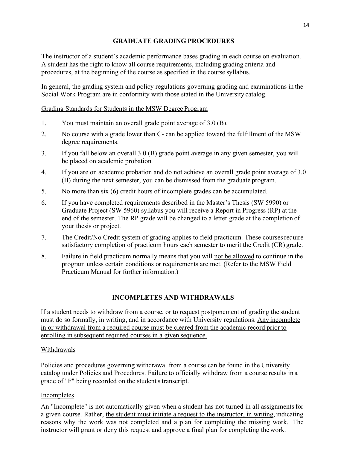#### **GRADUATE GRADING PROCEDURES**

The instructor of a student's academic performance bases grading in each course on evaluation. A student has the right to know all course requirements, including grading criteria and procedures, at the beginning of the course as specified in the course syllabus.

In general, the grading system and policy regulations governing grading and examinations in the Social Work Program are in conformity with those stated in the University catalog.

#### Grading Standards for Students in the MSW Degree Program

- 1. You must maintain an overall grade point average of 3.0 (B).
- 2. No course with a grade lower than C- can be applied toward the fulfillment of the MSW degree requirements.
- 3. If you fall below an overall 3.0 (B) grade point average in any given semester, you will be placed on academic probation.
- 4. If you are on academic probation and do not achieve an overall grade point average of 3.0 (B) during the next semester, you can be dismissed from the graduate program.
- 5. No more than six (6) credit hours of incomplete grades can be accumulated.
- 6. If you have completed requirements described in the Master's Thesis (SW 5990) or Graduate Project (SW 5960) syllabus you will receive a Report in Progress (RP) at the end of the semester. The RP grade will be changed to a letter grade at the completion of your thesis or project.
- 7. The Credit/No Credit system of grading applies to field practicum. These coursesrequire satisfactory completion of practicum hours each semester to merit the Credit (CR) grade.
- 8. Failure in field practicum normally means that you will not be allowed to continue in the program unless certain conditions or requirements are met. (Refer to the MSW Field Practicum Manual for further information.)

#### **INCOMPLETES AND WITHDRAWALS**

If a student needs to withdraw from a course, or to request postponement of grading the student must do so formally, in writing, and in accordance with University regulations. Any incomplete in or withdrawal from a required course must be cleared from the academic record prior to enrolling in subsequent required courses in a given sequence.

#### Withdrawals

Policies and procedures governing withdrawal from a course can be found in the University catalog under Policies and Procedures. Failure to officially withdraw from a course results in a grade of "F" being recorded on the student's transcript.

#### **Incompletes**

An "Incomplete" is not automatically given when a student has not turned in all assignments for a given course. Rather, the student must initiate a request to the instructor, in writing, indicating reasons why the work was not completed and a plan for completing the missing work. The instructor will grant or deny this request and approve a final plan for completing the work.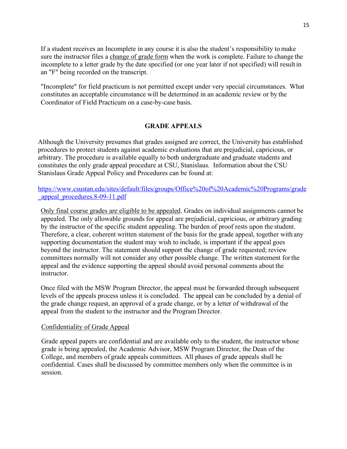If a student receives an Incomplete in any course it is also the student's responsibility to make sure the instructor files a change of grade form when the work is complete. Failure to change the incomplete to a letter grade by the date specified (or one year later if not specified) will result in an "F" being recorded on the transcript.

"Incomplete" for field practicum is not permitted except under very special circumstances. What constitutes an acceptable circumstance will be determined in an academic review or by the Coordinator of Field Practicum on a case-by-case basis.

#### **GRADE APPEALS**

Although the University presumes that grades assigned are correct, the University has established procedures to protect students against academic evaluations that are prejudicial, capricious, or arbitrary. The procedure is available equally to both undergraduate and graduate students and constitutes the only grade appeal procedure at CSU, Stanislaus. Information about the CSU Stanislaus Grade Appeal Policy and Procedures can be found at:

https://www.csustan.edu/sites/default/files/groups/Office%20of%20Academic%20Programs/grade \_appeal\_procedures.8-09-11.pdf

Only final course grades are eligible to be appealed. Grades on individual assignments cannot be appealed. The only allowable grounds for appeal are prejudicial, capricious, or arbitrary grading by the instructor of the specific student appealing. The burden of proof rests upon the student. Therefore, a clear, coherent written statement of the basis for the grade appeal, together with any supporting documentation the student may wish to include, is important if the appeal goes beyond the instructor. The statement should support the change of grade requested; review committees normally will not consider any other possible change. The written statement forthe appeal and the evidence supporting the appeal should avoid personal comments about the instructor.

Once filed with the MSW Program Director, the appeal must be forwarded through subsequent levels of the appeals process unless it is concluded. The appeal can be concluded by a denial of the grade change request, an approval of a grade change, or by a letter of withdrawal of the appeal from the student to the instructor and the Program Director.

#### Confidentiality of Grade Appeal

Grade appeal papers are confidential and are available only to the student, the instructor whose grade is being appealed, the Academic Advisor, MSW Program Director, the Dean of the College, and members of grade appeals committees. All phases of grade appeals shall be confidential. Cases shall be discussed by committee members only when the committee is in session.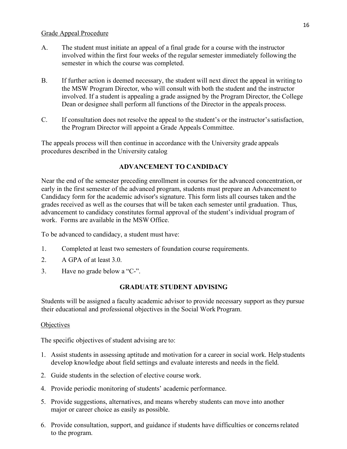#### Grade Appeal Procedure

- A. The student must initiate an appeal of a final grade for a course with the instructor involved within the first four weeks of the regular semester immediately following the semester in which the course was completed.
- B. If further action is deemed necessary, the student will next direct the appeal in writing to the MSW Program Director, who will consult with both the student and the instructor involved. If a student is appealing a grade assigned by the Program Director, the College Dean or designee shall perform all functions of the Director in the appeals process.
- C. If consultation does not resolve the appeal to the student's or the instructor'ssatisfaction, the Program Director will appoint a Grade Appeals Committee.

The appeals process will then continue in accordance with the University grade appeals procedures described in the University catalog

#### **ADVANCEMENT TO CANDIDACY**

Near the end of the semester preceding enrollment in courses for the advanced concentration, or early in the first semester of the advanced program, students must prepare an Advancement to Candidacy form for the academic advisor's signature. This form lists all courses taken and the grades received as well as the courses that will be taken each semester until graduation. Thus, advancement to candidacy constitutes formal approval of the student's individual program of work. Forms are available in the MSW Office.

To be advanced to candidacy, a student must have:

- 1. Completed at least two semesters of foundation course requirements.
- 2. A GPA of at least 3.0.
- 3. Have no grade below a "C-".

#### **GRADUATE STUDENT ADVISING**

Students will be assigned a faculty academic advisor to provide necessary support as they pursue their educational and professional objectives in the Social Work Program.

#### **Objectives**

The specific objectives of student advising are to:

- 1. Assist students in assessing aptitude and motivation for a career in social work. Help students develop knowledge about field settings and evaluate interests and needs in the field.
- 2. Guide students in the selection of elective course work.
- 4. Provide periodic monitoring of students' academic performance.
- 5. Provide suggestions, alternatives, and means whereby students can move into another major or career choice as easily as possible.
- 6. Provide consultation, support, and guidance if students have difficulties or concernsrelated to the program.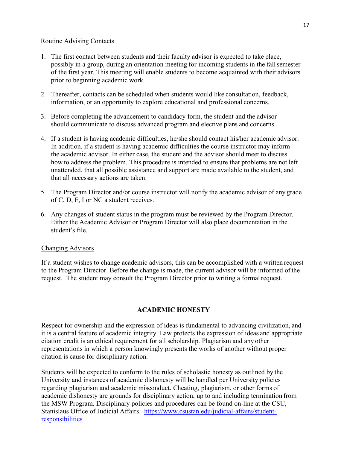#### Routine Advising Contacts

- 1. The first contact between students and their faculty advisor is expected to take place, possibly in a group, during an orientation meeting for incoming students in the fallsemester of the first year. This meeting will enable students to become acquainted with their advisors prior to beginning academic work.
- 2. Thereafter, contacts can be scheduled when students would like consultation, feedback, information, or an opportunity to explore educational and professional concerns.
- 3. Before completing the advancement to candidacy form, the student and the advisor should communicate to discuss advanced program and elective plans and concerns.
- 4. If a student is having academic difficulties, he/she should contact his/her academic advisor. In addition, if a student is having academic difficulties the course instructor may inform the academic advisor. In either case, the student and the advisor should meet to discuss how to address the problem. This procedure is intended to ensure that problems are not left unattended, that all possible assistance and support are made available to the student, and that all necessary actions are taken.
- 5. The Program Director and/or course instructor will notify the academic advisor of any grade of C, D, F, I or NC a student receives.
- 6. Any changes of student status in the program must be reviewed by the Program Director. Either the Academic Advisor or Program Director will also place documentation in the student's file.

#### Changing Advisors

If a student wishes to change academic advisors, this can be accomplished with a written request to the Program Director. Before the change is made, the current advisor will be informed of the request. The student may consult the Program Director prior to writing a formalrequest.

#### **ACADEMIC HONESTY**

Respect for ownership and the expression of ideas is fundamental to advancing civilization, and it is a central feature of academic integrity. Law protects the expression of ideas and appropriate citation credit is an ethical requirement for all scholarship. Plagiarism and any other representations in which a person knowingly presents the works of another without proper citation is cause for disciplinary action.

Students will be expected to conform to the rules of scholastic honesty as outlined by the University and instances of academic dishonesty will be handled per University policies regarding plagiarism and academic misconduct. Cheating, plagiarism, or other forms of academic dishonesty are grounds for disciplinary action, up to and including termination from the MSW Program. Disciplinary policies and procedures can be found on-line at the CSU, Stanislaus Office of Judicial Affairs. https://www.csustan.edu/judicial-affairs/studentresponsibilities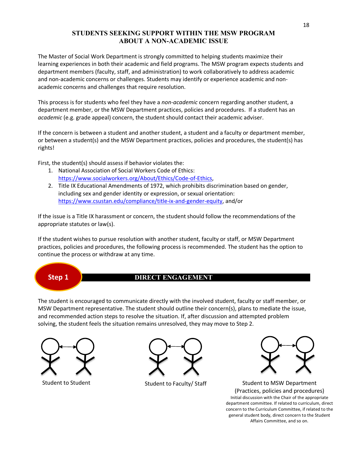#### **STUDENTS SEEKING SUPPORT WITHIN THE MSW PROGRAM ABOUT A NON-ACADEMIC ISSUE**

The Master of Social Work Department is strongly committed to helping students maximize their learning experiences in both their academic and field programs. The MSW program expects students and department members (faculty, staff, and administration) to work collaboratively to address academic and non-academic concerns or challenges. Students may identify or experience academic and nonacademic concerns and challenges that require resolution.

This process is for students who feel they have a *non-academic* concern regarding another student, a department member, or the MSW Department practices, policies and procedures. If a student has an *academic* (e.g. grade appeal) concern, the student should contact their academic adviser.

If the concern is between a student and another student, a student and a faculty or department member, or between a student(s) and the MSW Department practices, policies and procedures, the student(s) has rights!

First, the student(s) should assess if behavior violates the:

- 1. National Association of Social Workers Code of Ethics: https://www.socialworkers.org/About/Ethics/Code-of-Ethics,
- 2. Title IX Educational Amendments of 1972, which prohibits discrimination based on gender, including sex and gender identity or expression, or sexual orientation: https://www.csustan.edu/compliance/title-ix-and-gender-equity, and/or

If the issue is a Title IX harassment or concern, the student should follow the recommendations of the appropriate statutes or law(s).

If the student wishes to pursue resolution with another student, faculty or staff, or MSW Department practices, policies and procedures, the following process is recommended. The student has the option to continue the process or withdraw at any time.

### **Step 1**

#### **DIRECT ENGAGEMENT**

The student is encouraged to communicate directly with the involved student, faculty or staff member, or MSW Department representative. The student should outline their concern(s), plans to mediate the issue, and recommended action steps to resolve the situation. If, after discussion and attempted problem solving, the student feels the situation remains unresolved, they may move to Step 2.





Student to Faculty/ Staff



Student to Student The Student to Faculty/Staff Student to MSW Department (Practices, policies and procedures) Initial discussion with the Chair of the appropriate department committee. If related to curriculum, direct concern to the Curriculum Committee, if related to the general student body, direct concern to the Student Affairs Committee, and so on.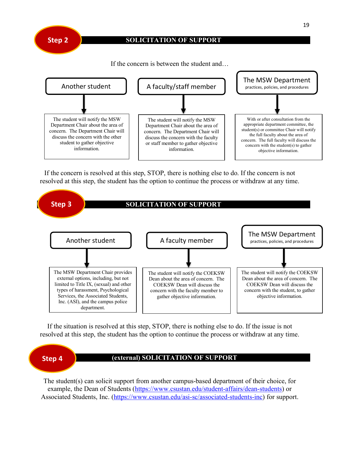

#### **SOLICITATION OF SUPPORT**

If the concern is between the student and…



If the concern is resolved at this step, STOP, there is nothing else to do. If the concern is not resolved at this step, the student has the option to continue the process or withdraw at any time.



If the situation is resolved at this step, STOP, there is nothing else to do. If the issue is not resolved at this step, the student has the option to continue the process or withdraw at any time.



The student(s) can solicit support from another campus-based department of their choice, for example, the Dean of Students (https://www.csustan.edu/student-affairs/dean-students) or Associated Students, Inc. (https://www.csustan.edu/asi-sc/associated-students-inc) for support.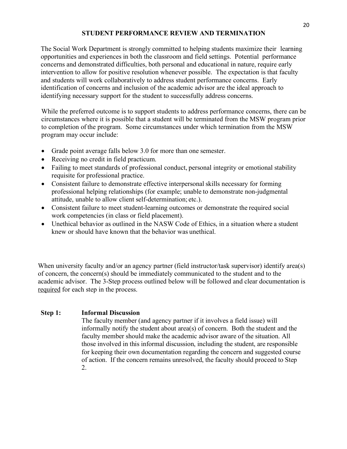#### **STUDENT PERFORMANCE REVIEW AND TERMINATION**

The Social Work Department is strongly committed to helping students maximize their learning opportunities and experiences in both the classroom and field settings. Potential performance concerns and demonstrated difficulties, both personal and educational in nature, require early intervention to allow for positive resolution whenever possible. The expectation is that faculty and students will work collaboratively to address student performance concerns. Early identification of concerns and inclusion of the academic advisor are the ideal approach to identifying necessary support for the student to successfully address concerns.

While the preferred outcome is to support students to address performance concerns, there can be circumstances where it is possible that a student will be terminated from the MSW program prior to completion of the program. Some circumstances under which termination from the MSW program may occur include:

- Grade point average falls below 3.0 for more than one semester.
- Receiving no credit in field practicum.
- Failing to meet standards of professional conduct, personal integrity or emotional stability requisite for professional practice.
- Consistent failure to demonstrate effective interpersonal skills necessary for forming professional helping relationships (for example; unable to demonstrate non-judgmental attitude, unable to allow client self-determination; etc.).
- Consistent failure to meet student-learning outcomes or demonstrate the required social work competencies (in class or field placement).
- Unethical behavior as outlined in the NASW Code of Ethics, in a situation where a student knew or should have known that the behavior was unethical.

When university faculty and/or an agency partner (field instructor/task supervisor) identify area(s) of concern, the concern(s) should be immediately communicated to the student and to the academic advisor. The 3-Step process outlined below will be followed and clear documentation is required for each step in the process.

#### **Step 1: Informal Discussion**

The faculty member (and agency partner if it involves a field issue) will informally notify the student about area(s) of concern. Both the student and the faculty member should make the academic advisor aware of the situation. All those involved in this informal discussion, including the student, are responsible for keeping their own documentation regarding the concern and suggested course of action. If the concern remains unresolved, the faculty should proceed to Step 2.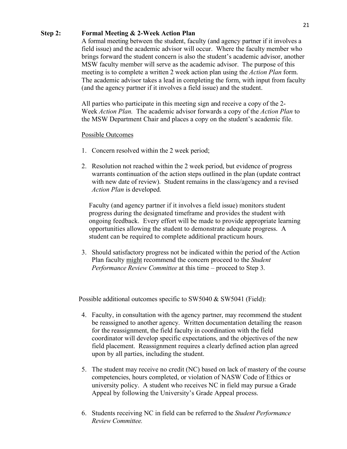#### **Step 2: Formal Meeting & 2-Week Action Plan**

A formal meeting between the student, faculty (and agency partner if it involves a field issue) and the academic advisor will occur. Where the faculty member who brings forward the student concern is also the student's academic advisor, another MSW faculty member will serve as the academic advisor. The purpose of this meeting is to complete a written 2 week action plan using the *Action Plan* form. The academic advisor takes a lead in completing the form, with input from faculty (and the agency partner if it involves a field issue) and the student.

All parties who participate in this meeting sign and receive a copy of the 2- Week *Action Plan.* The academic advisor forwards a copy of the *Action Plan* to the MSW Department Chair and places a copy on the student's academic file.

#### Possible Outcomes

- 1. Concern resolved within the 2 week period;
- 2. Resolution not reached within the 2 week period, but evidence of progress warrants continuation of the action steps outlined in the plan (update contract with new date of review). Student remains in the class/agency and a revised *Action Plan* is developed.

Faculty (and agency partner if it involves a field issue) monitors student progress during the designated timeframe and provides the student with ongoing feedback. Every effort will be made to provide appropriate learning opportunities allowing the student to demonstrate adequate progress. A student can be required to complete additional practicum hours.

3. Should satisfactory progress not be indicated within the period of the Action Plan faculty might recommend the concern proceed to the *Student Performance Review Committee* at this time – proceed to Step 3.

Possible additional outcomes specific to SW5040 & SW5041 (Field):

- 4. Faculty, in consultation with the agency partner, may recommend the student be reassigned to another agency. Written documentation detailing the reason for the reassignment, the field faculty in coordination with the field coordinator will develop specific expectations, and the objectives of the new field placement. Reassignment requires a clearly defined action plan agreed upon by all parties, including the student.
- 5. The student may receive no credit (NC) based on lack of mastery of the course competencies, hours completed, or violation of NASW Code of Ethics or university policy. A student who receives NC in field may pursue a Grade Appeal by following the University's Grade Appeal process.
- 6. Students receiving NC in field can be referred to the *Student Performance Review Committee.*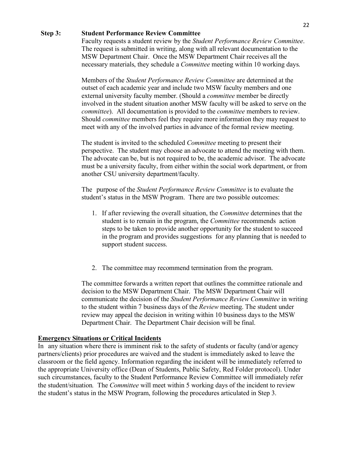#### **Step 3: Student Performance Review Committee**

Faculty requests a student review by the *Student Performance Review Committee*. The request is submitted in writing, along with all relevant documentation to the MSW Department Chair. Once the MSW Department Chair receives all the necessary materials, they schedule a *Committee* meeting within 10 working days.

Members of the *Student Performance Review Committee* are determined at the outset of each academic year and include two MSW faculty members and one external university faculty member. (Should a *committee* member be directly involved in the student situation another MSW faculty will be asked to serve on the *committee*). All documentation is provided to the *committee* members to review. Should *committee* members feel they require more information they may request to meet with any of the involved parties in advance of the formal review meeting.

The student is invited to the scheduled *Committee* meeting to present their perspective. The student may choose an advocate to attend the meeting with them. The advocate can be, but is not required to be, the academic advisor. The advocate must be a university faculty, from either within the social work department, or from another CSU university department/faculty.

The purpose of the *Student Performance Review Committee* is to evaluate the student's status in the MSW Program. There are two possible outcomes:

- 1. If after reviewing the overall situation, the *Committee* determines that the student is to remain in the program, the *Committee* recommends action steps to be taken to provide another opportunity for the student to succeed in the program and provides suggestions for any planning that is needed to support student success.
- 2. The committee may recommend termination from the program.

The committee forwards a written report that outlines the committee rationale and decision to the MSW Department Chair. The MSW Department Chair will communicate the decision of the *Student Performance Review Committee* in writing to the student within 7 business days of the *Review* meeting. The student under review may appeal the decision in writing within 10 business days to the MSW Department Chair. The Department Chair decision will be final.

#### **Emergency Situations or Critical Incidents**

In any situation where there is imminent risk to the safety of students or faculty (and/or agency partners/clients) prior procedures are waived and the student is immediately asked to leave the classroom or the field agency. Information regarding the incident will be immediately referred to the appropriate University office (Dean of Students, Public Safety, Red Folder protocol). Under such circumstances, faculty to the Student Performance Review Committee will immediately refer the student/situation*.* The *Committee* will meet within 5 working days of the incident to review the student's status in the MSW Program, following the procedures articulated in Step 3.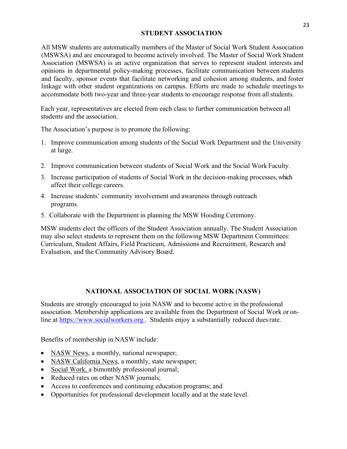#### **STUDENT ASSOCIATION**

All MSW students are automatically members of the Master of Social Work Student Association (MSWSA) and are encouraged to become actively involved. The Master of Social Work Student Association (MSWSA) is an active organization that serves to represent student interests and opinions in departmental policy-making processes, facilitate communication between students and faculty, sponsor events that facilitate networking and cohesion among students, and foster linkage with other student organizations on campus. Efforts are made to schedule meetings to accommodate both two-year and three-year students to encourage response from allstudents.

Each year, representatives are elected from each class to further communication between all students and the association.

The Association's purpose is to promote the following:

- 1. Improve communication among students of the Social Work Department and the University at large.
- 2. Improve communication between students of Social Work and the Social Work Faculty.
- 3. Increase participation of students of Social Work in the decision-making processes, which affect their college careers.
- 4. Increase students' community involvement and awareness through outreach programs.
- 5. Collaborate with the Department in planning the MSW Hooding Ceremony.

MSW students elect the officers of the Student Association annually. The Student Association may also select students to represent them on the following MSW Department Committees: Curriculum, Student Affairs, Field Practicum, Admissions and Recruitment, Research and Evaluation, and the Community Advisory Board.

#### **NATIONAL ASSOCIATION OF SOCIAL WORK (NASW)**

Students are strongly encouraged to join NASW and to become active in the professional association. Membership applications are available from the Department of Social Work or online at https://www.socialworkers.org . Students enjoy a substantially reduced duesrate.

Benefits of membership in NASW include:

- NASW News, a monthly, national newspaper;
- NASW California News, a monthly, state newspaper;
- Social Work, a bimonthly professional journal;
- Reduced rates on other NASW journals;
- Access to conferences and continuing education programs; and
- Opportunities for professional development locally and at the state level.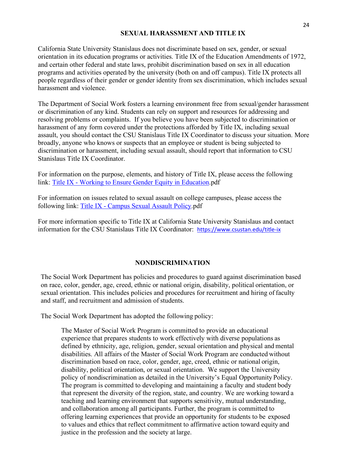#### **SEXUAL HARASSMENT AND TITLE IX**

California State University Stanislaus does not discriminate based on sex, gender, or sexual orientation in its education programs or activities. Title IX of the Education Amendments of 1972, and certain other federal and state laws, prohibit discrimination based on sex in all education programs and activities operated by the university (both on and off campus). Title IX protects all people regardless of their gender or gender identity from sex discrimination, which includes sexual harassment and violence.

The Department of Social Work fosters a learning environment free from sexual/gender harassment or discrimination of any kind. Students can rely on support and resources for addressing and resolving problems or complaints. If you believe you have been subjected to discrimination or harassment of any form covered under the protections afforded by Title IX, including sexual assault, you should contact the CSU Stanislaus Title IX Coordinator to discuss your situation. More broadly, anyone who knows or suspects that an employee or student is being subjected to discrimination or harassment, including sexual assault, should report that information to CSU Stanislaus Title IX Coordinator.

For information on the purpose, elements, and history of Title IX, please access the following link: Title IX - Working to Ensure Gender Equity in Education.pdf

For information on issues related to sexual assault on college campuses, please access the following link: Title IX - Campus Sexual Assault Policy.pdf

For more information specific to Title IX at California State University Stanislaus and contact information for the CSU Stanislaus Title IX Coordinator: https://www.csustan.edu/title-ix

#### **NONDISCRIMINATION**

The Social Work Department has policies and procedures to guard against discrimination based on race, color, gender, age, creed, ethnic or national origin, disability, political orientation, or sexual orientation. This includes policies and procedures for recruitment and hiring of faculty and staff, and recruitment and admission of students.

The Social Work Department has adopted the following policy:

The Master of Social Work Program is committed to provide an educational experience that prepares students to work effectively with diverse populations as defined by ethnicity, age, religion, gender, sexual orientation and physical and mental disabilities. All affairs of the Master of Social Work Program are conducted without discrimination based on race, color, gender, age, creed, ethnic or national origin, disability, political orientation, or sexual orientation. We support the University policy of nondiscrimination as detailed in the University's Equal Opportunity Policy. The program is committed to developing and maintaining a faculty and student body that represent the diversity of the region, state, and country. We are working toward a teaching and learning environment that supports sensitivity, mutual understanding, and collaboration among all participants. Further, the program is committed to offering learning experiences that provide an opportunity for students to be exposed to values and ethics that reflect commitment to affirmative action toward equity and justice in the profession and the society at large.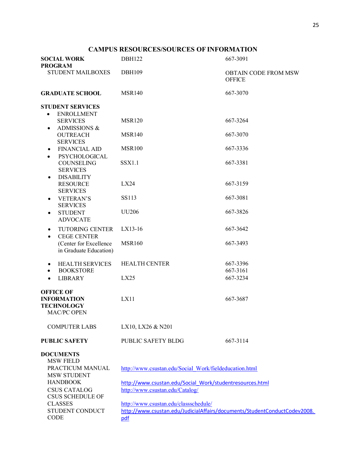#### **CAMPUS RESOURCES/SOURCES OF INFORMATION**

| <b>SOCIAL WORK</b><br><b>PROGRAM</b>                                              | <b>DBH122</b>                                                                                                      | 667-3091                                     |  |  |
|-----------------------------------------------------------------------------------|--------------------------------------------------------------------------------------------------------------------|----------------------------------------------|--|--|
| <b>STUDENT MAILBOXES</b>                                                          | <b>DBH109</b>                                                                                                      | <b>OBTAIN CODE FROM MSW</b><br><b>OFFICE</b> |  |  |
| <b>GRADUATE SCHOOL</b>                                                            | <b>MSR140</b>                                                                                                      | 667-3070                                     |  |  |
| <b>STUDENT SERVICES</b>                                                           |                                                                                                                    |                                              |  |  |
| <b>ENROLLMENT</b><br>$\bullet$<br><b>SERVICES</b><br>ADMISSIONS &<br>$\bullet$    | <b>MSR120</b>                                                                                                      | 667-3264                                     |  |  |
| <b>OUTREACH</b><br><b>SERVICES</b>                                                | <b>MSR140</b>                                                                                                      | 667-3070                                     |  |  |
| <b>FINANCIAL AID</b><br>PSYCHOLOGICAL<br>$\bullet$                                | <b>MSR100</b>                                                                                                      | 667-3336                                     |  |  |
| <b>COUNSELING</b><br><b>SERVICES</b>                                              | <b>SSX1.1</b>                                                                                                      | 667-3381                                     |  |  |
| <b>DISABILITY</b><br>٠<br><b>RESOURCE</b><br><b>SERVICES</b>                      | LX24                                                                                                               | 667-3159                                     |  |  |
| <b>VETERAN'S</b><br>٠<br><b>SERVICES</b>                                          | <b>SS113</b>                                                                                                       | 667-3081                                     |  |  |
| <b>STUDENT</b><br>$\bullet$<br><b>ADVOCATE</b>                                    | <b>UU206</b>                                                                                                       | 667-3826                                     |  |  |
| <b>TUTORING CENTER</b>                                                            | $LX13-16$                                                                                                          | 667-3642                                     |  |  |
| <b>CEGE CENTER</b><br>(Center for Excellence<br>in Graduate Education)            | <b>MSR160</b>                                                                                                      | 667-3493                                     |  |  |
| <b>HEALTH SERVICES</b><br><b>BOOKSTORE</b><br>$\bullet$                           | <b>HEALTH CENTER</b>                                                                                               | 667-3396<br>667-3161                         |  |  |
| <b>LIBRARY</b><br>$\bullet$                                                       | LX25                                                                                                               | 667-3234                                     |  |  |
| <b>OFFICE OF</b><br><b>INFORMATION</b><br><b>TECHNOLOGY</b><br><b>MAC/PC OPEN</b> | LX11                                                                                                               | 667-3687                                     |  |  |
| <b>COMPUTER LABS</b>                                                              | LX10, LX26 & N201                                                                                                  |                                              |  |  |
| <b>PUBLIC SAFETY</b>                                                              | PUBLIC SAFETY BLDG                                                                                                 | 667-3114                                     |  |  |
| <b>DOCUMENTS</b><br><b>MSW FIELD</b><br>PRACTICUM MANUAL                          |                                                                                                                    |                                              |  |  |
| <b>MSW STUDENT</b>                                                                | http://www.csustan.edu/Social Work/fieldeducation.html                                                             |                                              |  |  |
| <b>HANDBOOK</b><br><b>CSUS CATALOG</b><br><b>CSUS SCHEDULE OF</b>                 | http://www.csustan.edu/Social Work/studentresources.html<br>http://www.csustan.edu/Catalog/                        |                                              |  |  |
| <b>CLASSES</b><br>STUDENT CONDUCT                                                 | http://www.csustan.edu/classschedule/<br>http://www.csustan.edu/JudicialAffairs/documents/StudentConductCodev2008. |                                              |  |  |
| CODE                                                                              | pdf                                                                                                                |                                              |  |  |